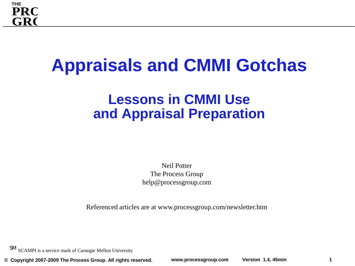

## **Appraisals and CMMI Gotchas**

#### **Lessons in CMMI Use and Appraisal Preparation**

Neil Potter The Process Group help@processgroup.com

Referenced articles are at www.processgroup.com/newsletter.htm

SM SCAMPI is a service mark of Carnegie Mellon University

**© Copyright 2007-2009 The Process Group. All rights reserved. www.processgroup.com Version 1.4, 45min**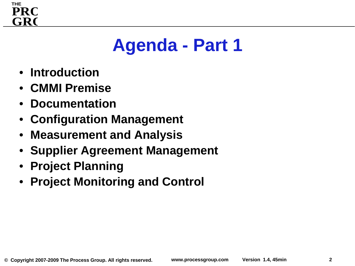

## **Agenda - Part 1**

- **Introduction**
- **CMMI Premise**
- **Documentation**
- **Configuration Management**
- **Measurement and Analysis**
- **Supplier Agreement Management**
- **Project Planning**
- **Project Monitoring and Control**

**2**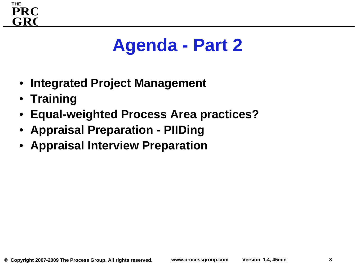

## **Agenda - Part 2**

- **Integrated Project Management**
- **Training**
- **Equal-weighted Process Area practices?**
- **Appraisal Preparation - PIIDing**
- **Appraisal Interview Preparation**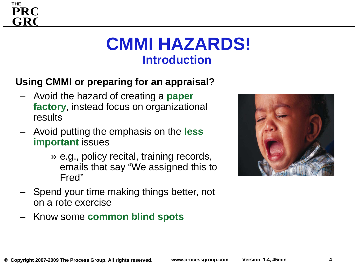### **CMMI HAZARDS! Introduction**

#### **Using CMMI or preparing for an appraisal?**

- Avoid the hazard of creating a **paper factory**, instead focus on organizational results
- Avoid putting the emphasis on the **less important** issues
	- » e.g., policy recital, training records, emails that say "We assigned this to Fred"
- Spend your time making things better, not on a rote exercise
- Know some **common blind spots**



**THE**

**GRO**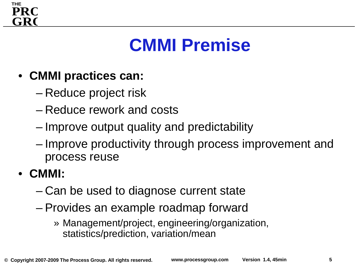

## **CMMI Premise**

- **CMMI practices can:**
	- Reduce project risk
	- Reduce rework and costs
	- Improve output quality and predictability
	- Improve productivity through process improvement and process reuse
- **CMMI:**
	- Can be used to diagnose current state
	- Provides an example roadmap forward
		- » Management/project, engineering/organization, statistics/prediction, variation/mean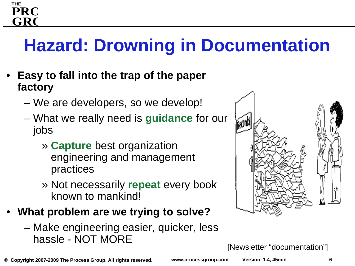#### **THE GRO PRC**

## **Hazard: Drowning in Documentation**

- **Easy to fall into the trap of the paper factory**
	- We are developers, so we develop!
	- What we really need is **guidance** for our jobs
		- » **Capture** best organization engineering and management practices
		- » Not necessarily **repeat** every book known to mankind!
- **What problem are we trying to solve?**
	- Make engineering easier, quicker, less hassle - NOT MORE



[Newsletter "documentation"]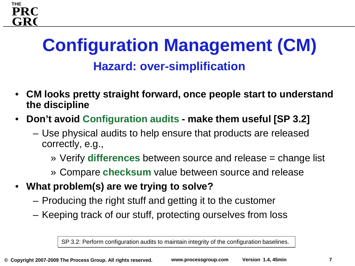## **Configuration Management (CM) Hazard: over-simplification**

- **CM looks pretty straight forward, once people start to understand the discipline**
- **Don't avoid Configuration audits - make them useful [SP 3.2]**
	- Use physical audits to help ensure that products are released correctly, e.g.,
		- » Verify **differences** between source and release = change list
		- » Compare **checksum** value between source and release
- **What problem(s) are we trying to solve?**

**THE**

**GRO**

**PRO**

- Producing the right stuff and getting it to the customer
- Keeping track of our stuff, protecting ourselves from loss

SP 3.2: Perform configuration audits to maintain integrity of the configuration baselines.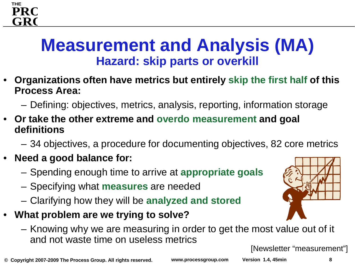### **Measurement and Analysis (MA) Hazard: skip parts or overkill**

- **Organizations often have metrics but entirely skip the first half of this Process Area:**
	- Defining: objectives, metrics, analysis, reporting, information storage
- **Or take the other extreme and overdo measurement and goal definitions**
	- 34 objectives, a procedure for documenting objectives, 82 core metrics
- **Need a good balance for:**

**THE**

**GRO**

**PRO**

- Spending enough time to arrive at **appropriate goals**
- Specifying what **measures** are needed
- Clarifying how they will be **analyzed and stored**
- **What problem are we trying to solve?**
	- Knowing why we are measuring in order to get the most value out of it and not waste time on useless metrics

[Newsletter "measurement"]

**© Copyright 2007-2009 The Process Group. All rights reserved. www.processgroup.com Version 1.4, 45min**

**8**

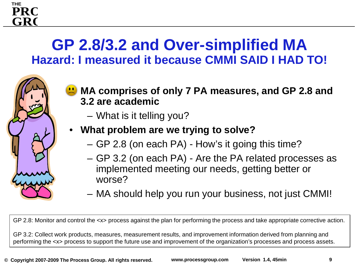#### **GP 2.8/3.2 and Over-simplified MA Hazard: I measured it because CMMI SAID I HAD TO!**

- **MA comprises of only 7 PA measures, and GP 2.8 and 3.2 are academic**
	- What is it telling you?

**THE**

**GRO PRC** 

#### • **What problem are we trying to solve?**

- GP 2.8 (on each PA) How's it going this time?
- GP 3.2 (on each PA) Are the PA related processes as implemented meeting our needs, getting better or worse?
- MA should help you run your business, not just CMMI!

GP 2.8: Monitor and control the <x> process against the plan for performing the process and take appropriate corrective action.

GP 3.2: Collect work products, measures, measurement results, and improvement information derived from planning and performing the <x> process to support the future use and improvement of the organization's processes and process assets.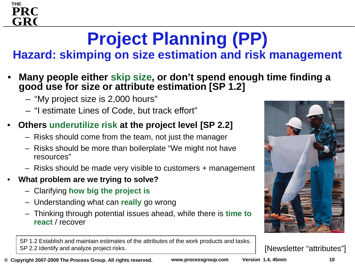# **Project Planning (PP)**

**Hazard: skimping on size estimation and risk management**

- **Many people either skip size, or don't spend enough time finding a good use for size or attribute estimation [SP 1.2]**
	- "My project size is 2,000 hours"
	- "I estimate Lines of Code, but track effort"

#### • **Others underutilize risk at the project level [SP 2.2]**

- Risks should come from the team, not just the manager
- Risks should be more than boilerplate "We might not have resources"
- Risks should be made very visible to customers + management
- **What problem are we trying to solve?**
	- Clarifying **how big the project is**
	- Understanding what can **really** go wrong
	- Thinking through potential issues ahead, while there is **time to react** / recover

SP 1.2 Establish and maintain estimates of the attributes of the work products and tasks. SP 2.2 Identify and analyze project risks.

**© Copyright 2007-2009 The Process Group. All rights reserved. www.processgroup.com Version 1.4, 45min**



[Newsletter "attributes"]



**THE**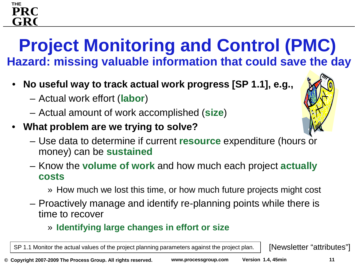### **Project Monitoring and Control (PMC) Hazard: missing valuable information that could save the day**

- **No useful way to track actual work progress [SP 1.1], e.g.,**
	- Actual work effort (**labor**)

**THE**

**GRO**

**PRC** 

- Actual amount of work accomplished (**size**)
- **What problem are we trying to solve?**



- Know the **volume of work** and how much each project **actually costs**
	- » How much we lost this time, or how much future projects might cost
- Proactively manage and identify re-planning points while there is time to recover

#### » **Identifying large changes in effort or size**

SP 1.1 Monitor the actual values of the project planning parameters against the project plan. | [Newsletter "attributes"]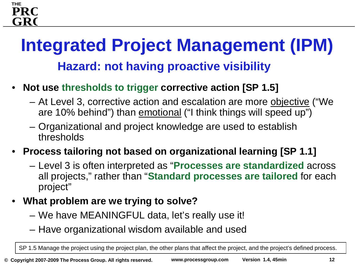## **Integrated Project Management (IPM) Hazard: not having proactive visibility**

- **Not use thresholds to trigger corrective action [SP 1.5]**
	- At Level 3, corrective action and escalation are more objective ("We are 10% behind") than emotional ("I think things will speed up")
	- Organizational and project knowledge are used to establish thresholds
- **Process tailoring not based on organizational learning [SP 1.1]**
	- Level 3 is often interpreted as "**Processes are standardized** across all projects," rather than "**Standard processes are tailored** for each project"
- **What problem are we trying to solve?**
	- We have MEANINGFUL data, let's really use it!
	- Have organizational wisdom available and used

SP 1.5 Manage the project using the project plan, the other plans that affect the project, and the project's defined process.

**THE**

**GRO**

**PRO**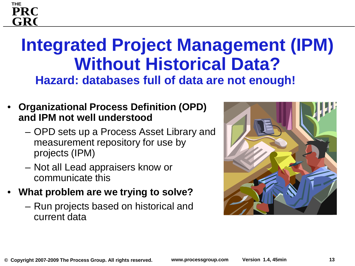### **Integrated Project Management (IPM) Without Historical Data? Hazard: databases full of data are not enough!**

- **Organizational Process Definition (OPD) and IPM not well understood**
	- OPD sets up a Process Asset Library and measurement repository for use by projects (IPM)
	- Not all Lead appraisers know or communicate this
- **What problem are we trying to solve?**
	- Run projects based on historical and current data



**THE**

**GRO**

**PRO**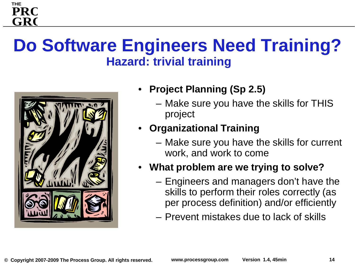### **Do Software Engineers Need Training? Hazard: trivial training**



**THE**

**GRO PRC** 

- **Project Planning (Sp 2.5)**
	- Make sure you have the skills for THIS project
- **Organizational Training**
	- Make sure you have the skills for current work, and work to come
- **What problem are we trying to solve?**
	- Engineers and managers don't have the skills to perform their roles correctly (as per process definition) and/or efficiently
	- Prevent mistakes due to lack of skills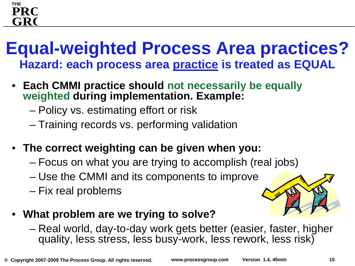#### **THE GRO PRC**

### **Equal-weighted Process Area practices? Hazard: each process area practice is treated as EQUAL**

- **Each CMMI practice should not necessarily be equally weighted during implementation. Example:** 
	- Policy vs. estimating effort or risk
	- Training records vs. performing validation
- **The correct weighting can be given when you:**
	- Focus on what you are trying to accomplish (real jobs)
	- Use the CMMI and its components to improve
	- Fix real problems



- **What problem are we trying to solve?**
	- Real world, day-to-day work gets better (easier, faster, higher quality, less stress, less busy-work, less rework, less risk)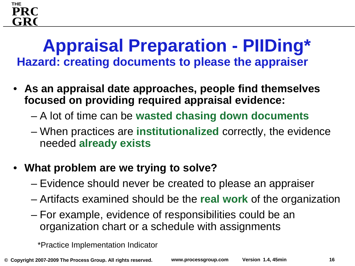#### **GRO PRO**

**THE**

### **Appraisal Preparation - PIIDing\* Hazard: creating documents to please the appraiser**

- **As an appraisal date approaches, people find themselves focused on providing required appraisal evidence:**
	- A lot of time can be **wasted chasing down documents**
	- When practices are **institutionalized** correctly, the evidence needed **already exists**
- **What problem are we trying to solve?**
	- Evidence should never be created to please an appraiser
	- Artifacts examined should be the **real work** of the organization
	- For example, evidence of responsibilities could be an organization chart or a schedule with assignments

\*Practice Implementation Indicator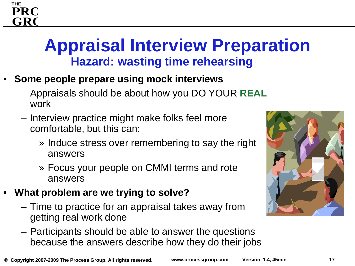### **Appraisal Interview Preparation Hazard: wasting time rehearsing**

- **Some people prepare using mock interviews**
	- Appraisals should be about how you DO YOUR **REAL** work
	- Interview practice might make folks feel more comfortable, but this can:
		- » Induce stress over remembering to say the right answers
		- » Focus your people on CMMI terms and rote answers
- **What problem are we trying to solve?**
	- Time to practice for an appraisal takes away from getting real work done
	- Participants should be able to answer the questions because the answers describe how they do their jobs



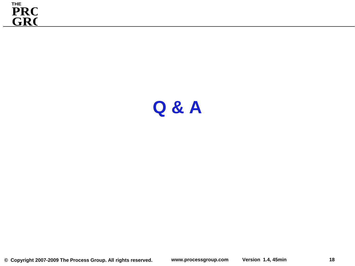

### **Q & A**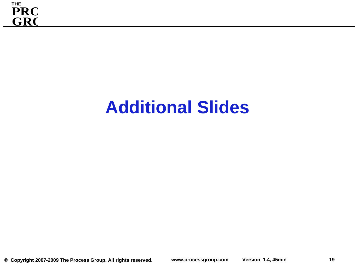

## **Additional Slides**

**19**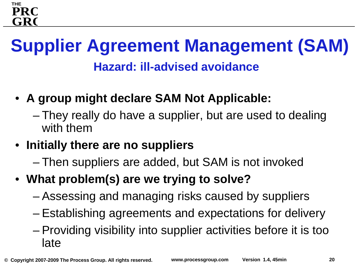### **Supplier Agreement Management (SAM) Hazard: ill-advised avoidance**

- **A group might declare SAM Not Applicable:**
	- They really do have a supplier, but are used to dealing with them
- **Initially there are no suppliers**
	- Then suppliers are added, but SAM is not invoked
- **What problem(s) are we trying to solve?**
	- Assessing and managing risks caused by suppliers
	- Establishing agreements and expectations for delivery
	- Providing visibility into supplier activities before it is too late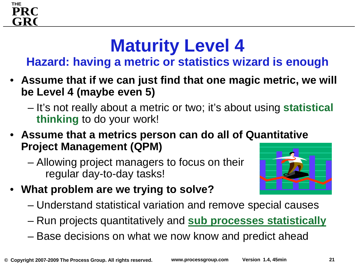## **Maturity Level 4**

**Hazard: having a metric or statistics wizard is enough**

- **Assume that if we can just find that one magic metric, we will be Level 4 (maybe even 5)**
	- It's not really about a metric or two; it's about using **statistical thinking** to do your work!
- **Assume that a metrics person can do all of Quantitative Project Management (QPM)**
	- Allowing project managers to focus on their regular day-to-day tasks!



- **What problem are we trying to solve?**
	- Understand statistical variation and remove special causes
	- Run projects quantitatively and **sub processes statistically**
	- Base decisions on what we now know and predict ahead

**THE**

**GRO**

**PRO**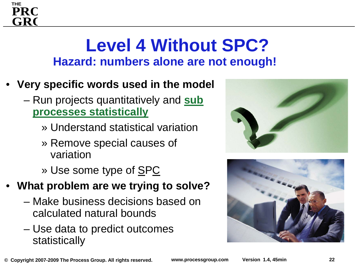### **Level 4 Without SPC? Hazard: numbers alone are not enough!**

• **Very specific words used in the model**

**THE**

GR(

- Run projects quantitatively and **sub processes statistically**
	- » Understand statistical variation
	- » Remove special causes of variation
	- » Use some type of **SPC**
- **What problem are we trying to solve?**
	- Make business decisions based on calculated natural bounds
	- Use data to predict outcomes statistically



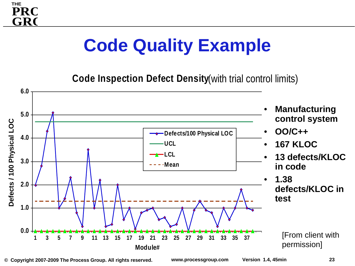## **Code Quality Example**

**THE**

GR(

**PRC** 

**Code Inspection Defect Density** (with trial control limits)



**© Copyright 2007-2009 The Process Group. All rights reserved. www.processgroup.com Version 1.4, 45min**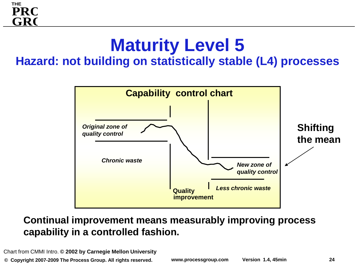## **Maturity Level 5**

#### **Hazard: not building on statistically stable (L4) processes**



#### **Continual improvement means measurably improving process capability in a controlled fashion.**

Chart from CMMI Intro. **© 2002 by Carnegie Mellon University**

**© Copyright 2007-2009 The Process Group. All rights reserved. www.processgroup.com Version 1.4, 45min**

**THE**

**GRO**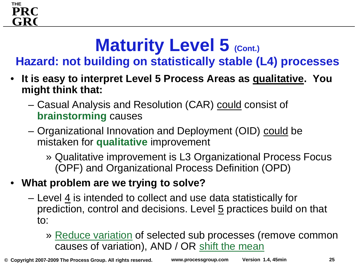## **Maturity Level 5 (Cont.)**

**Hazard: not building on statistically stable (L4) processes**

- **It is easy to interpret Level 5 Process Areas as qualitative. You might think that:**
	- Casual Analysis and Resolution (CAR) could consist of **brainstorming** causes
	- Organizational Innovation and Deployment (OID) could be mistaken for **qualitative** improvement
		- » Qualitative improvement is L3 Organizational Process Focus (OPF) and Organizational Process Definition (OPD)
- **What problem are we trying to solve?**

**THE**

**GRO**

- Level 4 is intended to collect and use data statistically for prediction, control and decisions. Level 5 practices build on that to:
	- » Reduce variation of selected sub processes (remove common causes of variation), AND / OR shift the mean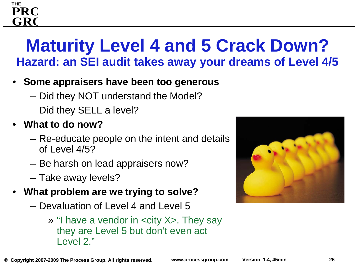### **Maturity Level 4 and 5 Crack Down? Hazard: an SEI audit takes away your dreams of Level 4/5**

- **Some appraisers have been too generous**
	- Did they NOT understand the Model?
	- Did they SELL a level?
- **What to do now?**

**THE**

GR(

- Re-educate people on the intent and details of Level 4/5?
- Be harsh on lead appraisers now?
- Take away levels?
- **What problem are we trying to solve?**
	- Devaluation of Level 4 and Level 5
		- » "I have a vendor in <city X>. They say they are Level 5 but don't even act Level 2."